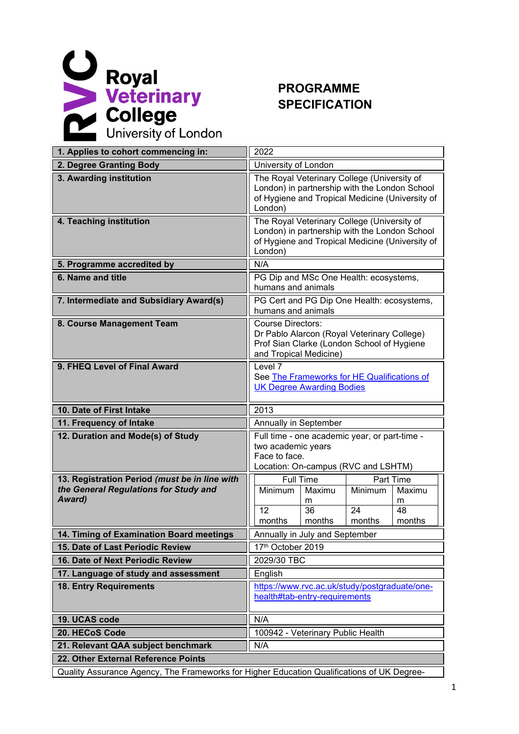

## **PROGRAMME SPECIFICATION**

| 1. Applies to cohort commencing in:                                                        | 2022                                                                                                                                                       |  |  |  |
|--------------------------------------------------------------------------------------------|------------------------------------------------------------------------------------------------------------------------------------------------------------|--|--|--|
|                                                                                            |                                                                                                                                                            |  |  |  |
| 2. Degree Granting Body                                                                    | University of London                                                                                                                                       |  |  |  |
| 3. Awarding institution                                                                    | The Royal Veterinary College (University of<br>London) in partnership with the London School<br>of Hygiene and Tropical Medicine (University of<br>London) |  |  |  |
| 4. Teaching institution                                                                    | The Royal Veterinary College (University of<br>London) in partnership with the London School<br>of Hygiene and Tropical Medicine (University of<br>London) |  |  |  |
| 5. Programme accredited by                                                                 | N/A                                                                                                                                                        |  |  |  |
| 6. Name and title                                                                          | PG Dip and MSc One Health: ecosystems,<br>humans and animals                                                                                               |  |  |  |
| 7. Intermediate and Subsidiary Award(s)                                                    | PG Cert and PG Dip One Health: ecosystems,<br>humans and animals                                                                                           |  |  |  |
| 8. Course Management Team                                                                  | <b>Course Directors:</b><br>Dr Pablo Alarcon (Royal Veterinary College)<br>Prof Sian Clarke (London School of Hygiene<br>and Tropical Medicine)            |  |  |  |
| 9. FHEQ Level of Final Award                                                               | Level 7<br>See The Frameworks for HE Qualifications of<br><b>UK Degree Awarding Bodies</b>                                                                 |  |  |  |
| 10. Date of First Intake                                                                   | 2013                                                                                                                                                       |  |  |  |
| 11. Frequency of Intake                                                                    | Annually in September                                                                                                                                      |  |  |  |
| 12. Duration and Mode(s) of Study                                                          | Full time - one academic year, or part-time -<br>two academic years<br>Face to face.<br>Location: On-campus (RVC and LSHTM)                                |  |  |  |
| 13. Registration Period (must be in line with                                              | Part Time<br>Full Time                                                                                                                                     |  |  |  |
| the General Regulations for Study and                                                      | Minimum<br>Minimum<br>Maximu<br>Maximu                                                                                                                     |  |  |  |
| Award)                                                                                     | m<br>m<br>$\overline{36}$<br>$\overline{24}$<br>12<br>48                                                                                                   |  |  |  |
|                                                                                            | months<br>months<br>months<br>months                                                                                                                       |  |  |  |
| 14. Timing of Examination Board meetings                                                   | Annually in July and September                                                                                                                             |  |  |  |
| 15. Date of Last Periodic Review                                                           | 17th October 2019                                                                                                                                          |  |  |  |
| 16. Date of Next Periodic Review                                                           | 2029/30 TBC                                                                                                                                                |  |  |  |
| 17. Language of study and assessment                                                       | English                                                                                                                                                    |  |  |  |
| <b>18. Entry Requirements</b>                                                              | https://www.rvc.ac.uk/study/postgraduate/one-                                                                                                              |  |  |  |
|                                                                                            | health#tab-entry-requirements                                                                                                                              |  |  |  |
| 19. UCAS code                                                                              | N/A                                                                                                                                                        |  |  |  |
| 20. HECoS Code                                                                             | 100942 - Veterinary Public Health                                                                                                                          |  |  |  |
| 21. Relevant QAA subject benchmark                                                         | N/A                                                                                                                                                        |  |  |  |
| 22. Other External Reference Points                                                        |                                                                                                                                                            |  |  |  |
| Quality Assurance Agency, The Frameworks for Higher Education Qualifications of UK Degree- |                                                                                                                                                            |  |  |  |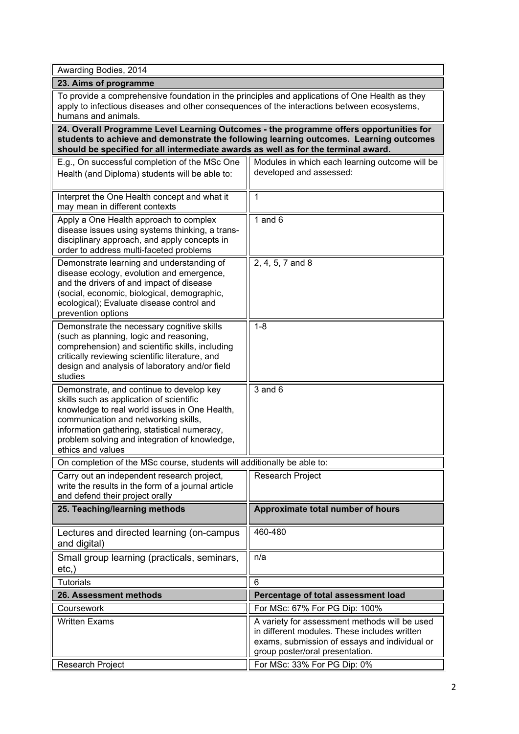Awarding Bodies, 2014

**23. Aims of programme**

To provide a comprehensive foundation in the principles and applications of One Health as they apply to infectious diseases and other consequences of the interactions between ecosystems, humans and animals.

**24. Overall Programme Level Learning Outcomes - the programme offers opportunities for students to achieve and demonstrate the following learning outcomes. Learning outcomes should be specified for all intermediate awards as well as for the terminal award.**

| E.g., On successful completion of the MSc One<br>Health (and Diploma) students will be able to:                                                                                                                                                                                                     | Modules in which each learning outcome will be<br>developed and assessed:                                                                                                         |
|-----------------------------------------------------------------------------------------------------------------------------------------------------------------------------------------------------------------------------------------------------------------------------------------------------|-----------------------------------------------------------------------------------------------------------------------------------------------------------------------------------|
| Interpret the One Health concept and what it<br>may mean in different contexts                                                                                                                                                                                                                      | 1                                                                                                                                                                                 |
| Apply a One Health approach to complex<br>disease issues using systems thinking, a trans-<br>disciplinary approach, and apply concepts in<br>order to address multi-faceted problems                                                                                                                | 1 and $6$                                                                                                                                                                         |
| Demonstrate learning and understanding of<br>disease ecology, evolution and emergence,<br>and the drivers of and impact of disease<br>(social, economic, biological, demographic,<br>ecological); Evaluate disease control and<br>prevention options                                                | 2, 4, 5, 7 and 8                                                                                                                                                                  |
| Demonstrate the necessary cognitive skills<br>(such as planning, logic and reasoning,<br>comprehension) and scientific skills, including<br>critically reviewing scientific literature, and<br>design and analysis of laboratory and/or field<br>studies                                            | $1 - 8$                                                                                                                                                                           |
| Demonstrate, and continue to develop key<br>skills such as application of scientific<br>knowledge to real world issues in One Health,<br>communication and networking skills,<br>information gathering, statistical numeracy,<br>problem solving and integration of knowledge,<br>ethics and values | $3$ and $6$                                                                                                                                                                       |
| On completion of the MSc course, students will additionally be able to:                                                                                                                                                                                                                             |                                                                                                                                                                                   |
| Carry out an independent research project,<br>write the results in the form of a journal article<br>and defend their project orally                                                                                                                                                                 | Research Project                                                                                                                                                                  |
| 25. Teaching/learning methods                                                                                                                                                                                                                                                                       | Approximate total number of hours                                                                                                                                                 |
| Lectures and directed learning (on-campus<br>and digital)                                                                                                                                                                                                                                           | 460-480                                                                                                                                                                           |
| Small group learning (practicals, seminars,<br>$etc.$ )                                                                                                                                                                                                                                             | n/a                                                                                                                                                                               |
| <b>Tutorials</b>                                                                                                                                                                                                                                                                                    | 6                                                                                                                                                                                 |
| 26. Assessment methods                                                                                                                                                                                                                                                                              | Percentage of total assessment load                                                                                                                                               |
| Coursework                                                                                                                                                                                                                                                                                          | For MSc: 67% For PG Dip: 100%                                                                                                                                                     |
| <b>Written Exams</b>                                                                                                                                                                                                                                                                                | A variety for assessment methods will be used<br>in different modules. These includes written<br>exams, submission of essays and individual or<br>group poster/oral presentation. |
| Research Project                                                                                                                                                                                                                                                                                    | For MSc: 33% For PG Dip: 0%                                                                                                                                                       |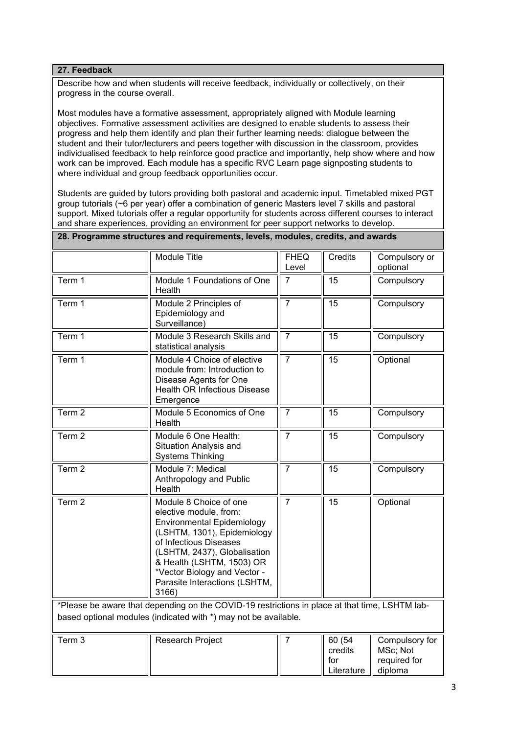## **27. Feedback**

Describe how and when students will receive feedback, individually or collectively, on their progress in the course overall.

Most modules have a formative assessment, appropriately aligned with Module learning objectives. Formative assessment activities are designed to enable students to assess their progress and help them identify and plan their further learning needs: dialogue between the student and their tutor/lecturers and peers together with discussion in the classroom, provides individualised feedback to help reinforce good practice and importantly, help show where and how work can be improved. Each module has a specific RVC Learn page signposting students to where individual and group feedback opportunities occur.

Students are guided by tutors providing both pastoral and academic input. Timetabled mixed PGT group tutorials (~6 per year) offer a combination of generic Masters level 7 skills and pastoral support. Mixed tutorials offer a regular opportunity for students across different courses to interact and share experiences, providing an environment for peer support networks to develop. **28. Programme structures and requirements, levels, modules, credits, and awards**

|                                                                                                                                                                   | Module Title                                                                                                                                                                                                                                                                          | <b>FHEQ</b><br>Level | Credits                                | Compulsory or<br>optional                             |
|-------------------------------------------------------------------------------------------------------------------------------------------------------------------|---------------------------------------------------------------------------------------------------------------------------------------------------------------------------------------------------------------------------------------------------------------------------------------|----------------------|----------------------------------------|-------------------------------------------------------|
| Term 1                                                                                                                                                            | Module 1 Foundations of One<br>Health                                                                                                                                                                                                                                                 | 7                    | 15                                     | Compulsory                                            |
| Term 1                                                                                                                                                            | Module 2 Principles of<br>Epidemiology and<br>Surveillance)                                                                                                                                                                                                                           | $\overline{7}$       | 15                                     | Compulsory                                            |
| Term 1                                                                                                                                                            | Module 3 Research Skills and<br>statistical analysis                                                                                                                                                                                                                                  | $\overline{7}$       | $\overline{15}$                        | Compulsory                                            |
| Term 1                                                                                                                                                            | Module 4 Choice of elective<br>module from: Introduction to<br>Disease Agents for One<br><b>Health OR Infectious Disease</b><br>Emergence                                                                                                                                             | $\overline{7}$       | 15                                     | Optional                                              |
| Term 2                                                                                                                                                            | Module 5 Economics of One<br>Health                                                                                                                                                                                                                                                   | $\overline{7}$       | 15                                     | Compulsory                                            |
| Term <sub>2</sub>                                                                                                                                                 | Module 6 One Health:<br>Situation Analysis and<br><b>Systems Thinking</b>                                                                                                                                                                                                             | $\overline{7}$       | 15                                     | Compulsory                                            |
| Term <sub>2</sub>                                                                                                                                                 | Module 7: Medical<br>Anthropology and Public<br>Health                                                                                                                                                                                                                                | $\overline{7}$       | 15                                     | Compulsory                                            |
| Term <sub>2</sub>                                                                                                                                                 | Module 8 Choice of one<br>elective module, from:<br><b>Environmental Epidemiology</b><br>(LSHTM, 1301), Epidemiology<br>of Infectious Diseases<br>(LSHTM, 2437), Globalisation<br>& Health (LSHTM, 1503) OR<br>*Vector Biology and Vector -<br>Parasite Interactions (LSHTM,<br>3166) | $\overline{7}$       | $\overline{15}$                        | Optional                                              |
| *Please be aware that depending on the COVID-19 restrictions in place at that time, LSHTM lab-<br>based optional modules (indicated with *) may not be available. |                                                                                                                                                                                                                                                                                       |                      |                                        |                                                       |
| Term <sub>3</sub>                                                                                                                                                 | Research Project                                                                                                                                                                                                                                                                      | 7                    | 60(54)<br>credits<br>for<br>Literature | Compulsory for<br>MSc; Not<br>required for<br>diploma |